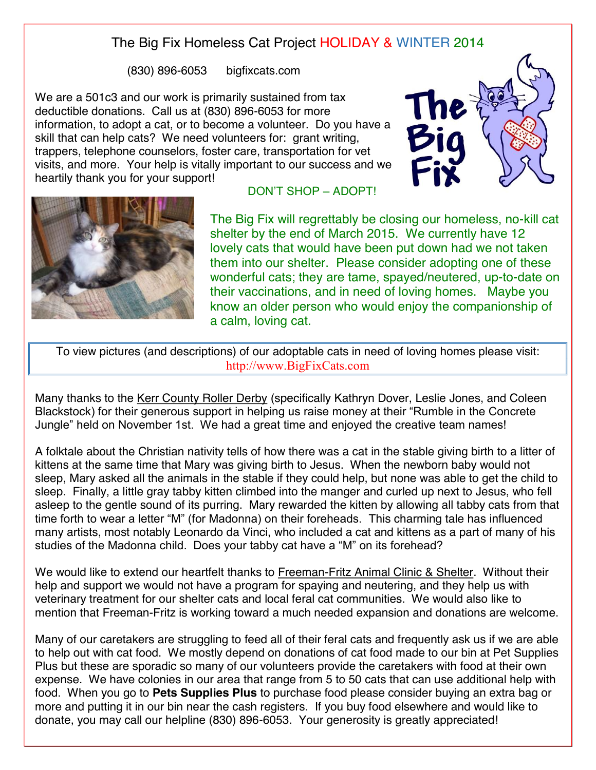## The Big Fix Homeless Cat Project HOLIDAY & WINTER 2014

(830) 896-6053 bigfixcats.com

We are a 501c3 and our work is primarily sustained from tax deductible donations. Call us at (830) 896-6053 for more information, to adopt a cat, or to become a volunteer. Do you have a skill that can help cats? We need volunteers for: grant writing, trappers, telephone counselors, foster care, transportation for vet visits, and more. Your help is vitally important to our success and we heartily thank you for your support!





## DON'T SHOP – ADOPT!

The Big Fix will regrettably be closing our homeless, no-kill cat shelter by the end of March 2015. We currently have 12 lovely cats that would have been put down had we not taken them into our shelter. Please consider adopting one of these wonderful cats; they are tame, spayed/neutered, up-to-date on their vaccinations, and in need of loving homes. Maybe you know an older person who would enjoy the companionship of a calm, loving cat.

To view pictures (and descriptions) of our adoptable cats in need of loving homes please visit: http://www.BigFixCats.com

Many thanks to the Kerr County Roller Derby (specifically Kathryn Dover, Leslie Jones, and Coleen Blackstock) for their generous support in helping us raise money at their "Rumble in the Concrete Jungle" held on November 1st. We had a great time and enjoyed the creative team names!

A folktale about the Christian nativity tells of how there was a cat in the stable giving birth to a litter of kittens at the same time that Mary was giving birth to Jesus. When the newborn baby would not sleep, Mary asked all the animals in the stable if they could help, but none was able to get the child to sleep. Finally, a little gray tabby kitten climbed into the manger and curled up next to Jesus, who fell asleep to the gentle sound of its purring. Mary rewarded the kitten by allowing all tabby cats from that time forth to wear a letter "M" (for Madonna) on their foreheads. This charming tale has influenced many artists, most notably Leonardo da Vinci, who included a cat and kittens as a part of many of his studies of the Madonna child. Does your tabby cat have a "M" on its forehead?

We would like to extend our heartfelt thanks to Freeman-Fritz Animal Clinic & Shelter. Without their help and support we would not have a program for spaying and neutering, and they help us with veterinary treatment for our shelter cats and local feral cat communities. We would also like to mention that Freeman-Fritz is working toward a much needed expansion and donations are welcome.

Many of our caretakers are struggling to feed all of their feral cats and frequently ask us if we are able to help out with cat food. We mostly depend on donations of cat food made to our bin at Pet Supplies Plus but these are sporadic so many of our volunteers provide the caretakers with food at their own expense. We have colonies in our area that range from 5 to 50 cats that can use additional help with food. When you go to **Pets Supplies Plus** to purchase food please consider buying an extra bag or more and putting it in our bin near the cash registers. If you buy food elsewhere and would like to donate, you may call our helpline (830) 896-6053. Your generosity is greatly appreciated!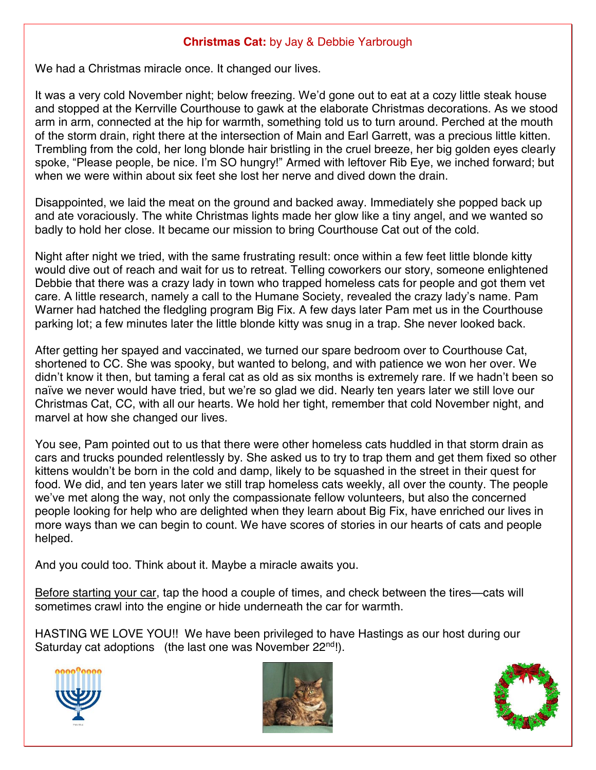## **Christmas Cat:** by Jay & Debbie Yarbrough

We had a Christmas miracle once. It changed our lives.

It was a very cold November night; below freezing. We'd gone out to eat at a cozy little steak house and stopped at the Kerrville Courthouse to gawk at the elaborate Christmas decorations. As we stood arm in arm, connected at the hip for warmth, something told us to turn around. Perched at the mouth of the storm drain, right there at the intersection of Main and Earl Garrett, was a precious little kitten. Trembling from the cold, her long blonde hair bristling in the cruel breeze, her big golden eyes clearly spoke, "Please people, be nice. I'm SO hungry!" Armed with leftover Rib Eye, we inched forward; but when we were within about six feet she lost her nerve and dived down the drain.

Disappointed, we laid the meat on the ground and backed away. Immediately she popped back up and ate voraciously. The white Christmas lights made her glow like a tiny angel, and we wanted so badly to hold her close. It became our mission to bring Courthouse Cat out of the cold.

Night after night we tried, with the same frustrating result: once within a few feet little blonde kitty would dive out of reach and wait for us to retreat. Telling coworkers our story, someone enlightened Debbie that there was a crazy lady in town who trapped homeless cats for people and got them vet care. A little research, namely a call to the Humane Society, revealed the crazy lady's name. Pam Warner had hatched the fledgling program Big Fix. A few days later Pam met us in the Courthouse parking lot; a few minutes later the little blonde kitty was snug in a trap. She never looked back.

After getting her spayed and vaccinated, we turned our spare bedroom over to Courthouse Cat, shortened to CC. She was spooky, but wanted to belong, and with patience we won her over. We didn't know it then, but taming a feral cat as old as six months is extremely rare. If we hadn't been so naïve we never would have tried, but we're so glad we did. Nearly ten years later we still love our Christmas Cat, CC, with all our hearts. We hold her tight, remember that cold November night, and marvel at how she changed our lives.

You see, Pam pointed out to us that there were other homeless cats huddled in that storm drain as cars and trucks pounded relentlessly by. She asked us to try to trap them and get them fixed so other kittens wouldn't be born in the cold and damp, likely to be squashed in the street in their quest for food. We did, and ten years later we still trap homeless cats weekly, all over the county. The people we've met along the way, not only the compassionate fellow volunteers, but also the concerned people looking for help who are delighted when they learn about Big Fix, have enriched our lives in more ways than we can begin to count. We have scores of stories in our hearts of cats and people helped.

And you could too. Think about it. Maybe a miracle awaits you.

Before starting your car, tap the hood a couple of times, and check between the tires—cats will sometimes crawl into the engine or hide underneath the car for warmth.

HASTING WE LOVE YOU!! We have been privileged to have Hastings as our host during our Saturday cat adoptions (the last one was November 22<sup>nd</sup>!).





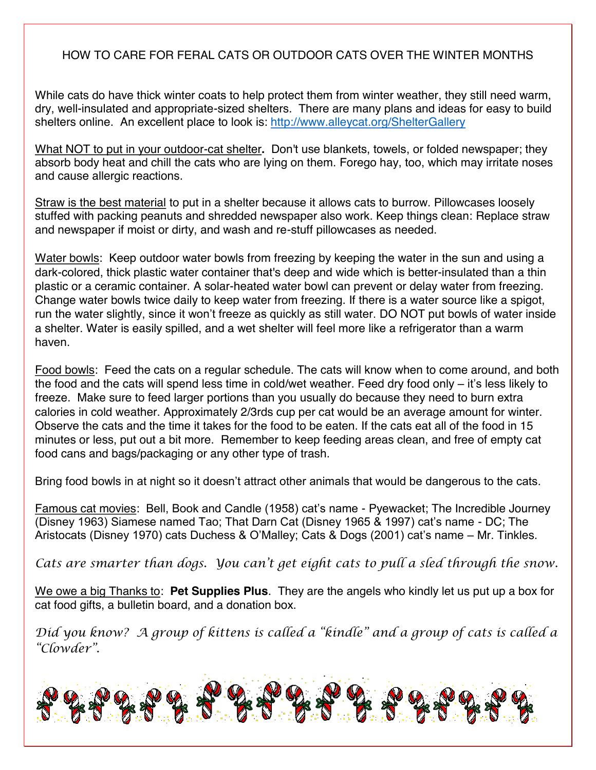## HOW TO CARE FOR FERAL CATS OR OUTDOOR CATS OVER THE WINTER MONTHS

While cats do have thick winter coats to help protect them from winter weather, they still need warm, dry, well-insulated and appropriate-sized shelters. There are many plans and ideas for easy to build shelters online. An excellent place to look is: http://www.alleycat.org/ShelterGallery

What NOT to put in your outdoor-cat shelter**.** Don't use blankets, towels, or folded newspaper; they absorb body heat and chill the cats who are lying on them. Forego hay, too, which may irritate noses and cause allergic reactions.

Straw is the best material to put in a shelter because it allows cats to burrow. Pillowcases loosely stuffed with packing peanuts and shredded newspaper also work. Keep things clean: Replace straw and newspaper if moist or dirty, and wash and re-stuff pillowcases as needed.

Water bowls: Keep outdoor water bowls from freezing by keeping the water in the sun and using a dark-colored, thick plastic water container that's deep and wide which is better-insulated than a thin plastic or a ceramic container. A solar-heated water bowl can prevent or delay water from freezing. Change water bowls twice daily to keep water from freezing. If there is a water source like a spigot, run the water slightly, since it won't freeze as quickly as still water. DO NOT put bowls of water inside a shelter. Water is easily spilled, and a wet shelter will feel more like a refrigerator than a warm haven.

Food bowls: Feed the cats on a regular schedule. The cats will know when to come around, and both the food and the cats will spend less time in cold/wet weather. Feed dry food only – it's less likely to freeze. Make sure to feed larger portions than you usually do because they need to burn extra calories in cold weather. Approximately 2/3rds cup per cat would be an average amount for winter. Observe the cats and the time it takes for the food to be eaten. If the cats eat all of the food in 15 minutes or less, put out a bit more. Remember to keep feeding areas clean, and free of empty cat food cans and bags/packaging or any other type of trash.

Bring food bowls in at night so it doesn't attract other animals that would be dangerous to the cats.

Famous cat movies: Bell, Book and Candle (1958) cat's name - Pyewacket; The Incredible Journey (Disney 1963) Siamese named Tao; That Darn Cat (Disney 1965 & 1997) cat's name - DC; The Aristocats (Disney 1970) cats Duchess & O'Malley; Cats & Dogs (2001) cat's name – Mr. Tinkles.

*Cats are smarter than dogs. You can 't get eight cats to pull a sled through the snow.*

We owe a big Thanks to: **Pet Supplies Plus**. They are the angels who kindly let us put up a box for cat food gifts, a bulletin board, and a donation box.

Díd you know? A group of kíttens is called a "kíndle" and a group of cats is called a *"Clowder ".*